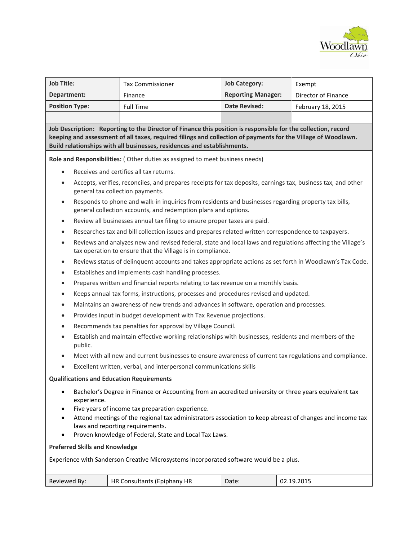

| <b>Job Title:</b>                                                                                                                                                                                                                                                                                         | <b>Tax Commissioner</b>                                                                                                                                                  | <b>Job Category:</b>      | Exempt              |  |  |
|-----------------------------------------------------------------------------------------------------------------------------------------------------------------------------------------------------------------------------------------------------------------------------------------------------------|--------------------------------------------------------------------------------------------------------------------------------------------------------------------------|---------------------------|---------------------|--|--|
| Department:                                                                                                                                                                                                                                                                                               | Finance                                                                                                                                                                  | <b>Reporting Manager:</b> | Director of Finance |  |  |
| <b>Position Type:</b>                                                                                                                                                                                                                                                                                     | <b>Full Time</b>                                                                                                                                                         | <b>Date Revised:</b>      | February 18, 2015   |  |  |
|                                                                                                                                                                                                                                                                                                           |                                                                                                                                                                          |                           |                     |  |  |
| Job Description: Reporting to the Director of Finance this position is responsible for the collection, record<br>keeping and assessment of all taxes, required filings and collection of payments for the Village of Woodlawn.<br>Build relationships with all businesses, residences and establishments. |                                                                                                                                                                          |                           |                     |  |  |
| Role and Responsibilities: (Other duties as assigned to meet business needs)                                                                                                                                                                                                                              |                                                                                                                                                                          |                           |                     |  |  |
| Receives and certifies all tax returns.<br>٠                                                                                                                                                                                                                                                              |                                                                                                                                                                          |                           |                     |  |  |
| Accepts, verifies, reconciles, and prepares receipts for tax deposits, earnings tax, business tax, and other<br>٠<br>general tax collection payments.                                                                                                                                                     |                                                                                                                                                                          |                           |                     |  |  |
| Responds to phone and walk-in inquiries from residents and businesses regarding property tax bills,<br>$\bullet$<br>general collection accounts, and redemption plans and options.                                                                                                                        |                                                                                                                                                                          |                           |                     |  |  |
| Review all businesses annual tax filing to ensure proper taxes are paid.<br>$\bullet$                                                                                                                                                                                                                     |                                                                                                                                                                          |                           |                     |  |  |
| ٠                                                                                                                                                                                                                                                                                                         | Researches tax and bill collection issues and prepares related written correspondence to taxpayers.                                                                      |                           |                     |  |  |
| $\bullet$                                                                                                                                                                                                                                                                                                 | Reviews and analyzes new and revised federal, state and local laws and regulations affecting the Village's<br>tax operation to ensure that the Village is in compliance. |                           |                     |  |  |

Reviews status of delinquent accounts and takes appropriate actions as set forth in Woodlawn's Tax Code.

- Establishes and implements cash handling processes.
- Prepares written and financial reports relating to tax revenue on a monthly basis.
- Keeps annual tax forms, instructions, processes and procedures revised and updated.
- Maintains an awareness of new trends and advances in software, operation and processes.
- Provides input in budget development with Tax Revenue projections.
- Recommends tax penalties for approval by Village Council.
- Establish and maintain effective working relationships with businesses, residents and members of the public.
- Meet with all new and current businesses to ensure awareness of current tax regulations and compliance.
- Excellent written, verbal, and interpersonal communications skills

## **Qualifications and Education Requirements**

- Bachelor's Degree in Finance or Accounting from an accredited university or three years equivalent tax experience.
- Five years of income tax preparation experience.
- Attend meetings of the regional tax administrators association to keep abreast of changes and income tax laws and reporting requirements.
- Proven knowledge of Federal, State and Local Tax Laws.

## **Preferred Skills and Knowledge**

Experience with Sanderson Creative Microsystems Incorporated software would be a plus.

|  | Reviewed By: | HR<br>HR.<br>R Consultants (Epiphany ' | Date: | 02.19.2015 |
|--|--------------|----------------------------------------|-------|------------|
|--|--------------|----------------------------------------|-------|------------|